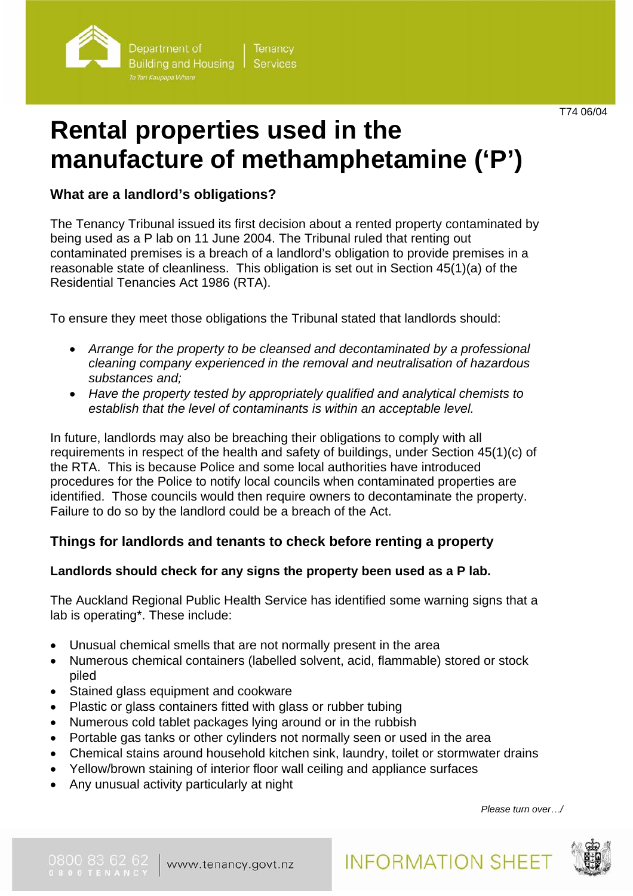

# **Rental properties used in the manufacture of methamphetamine ('P')**

**What are a landlord's obligations?** 

The Tenancy Tribunal issued its first decision about a rented property contaminated by being used as a P lab on 11 June 2004. The Tribunal ruled that renting out contaminated premises is a breach of a landlord's obligation to provide premises in a reasonable state of cleanliness. This obligation is set out in Section 45(1)(a) of the Residential Tenancies Act 1986 (RTA).

To ensure they meet those obligations the Tribunal stated that landlords should:

- *Arrange for the property to be cleansed and decontaminated by a professional cleaning company experienced in the removal and neutralisation of hazardous substances and;*
- *Have the property tested by appropriately qualified and analytical chemists to establish that the level of contaminants is within an acceptable level.*

In future, landlords may also be breaching their obligations to comply with all requirements in respect of the health and safety of buildings, under Section 45(1)(c) of the RTA. This is because Police and some local authorities have introduced procedures for the Police to notify local councils when contaminated properties are identified. Those councils would then require owners to decontaminate the property. Failure to do so by the landlord could be a breach of the Act.

# **Things for landlords and tenants to check before renting a property**

## **Landlords should check for any signs the property been used as a P lab.**

The Auckland Regional Public Health Service has identified some warning signs that a lab is operating\*. These include:

- Unusual chemical smells that are not normally present in the area
- Numerous chemical containers (labelled solvent, acid, flammable) stored or stock piled
- Stained glass equipment and cookware
- Plastic or glass containers fitted with glass or rubber tubing
- Numerous cold tablet packages lying around or in the rubbish
- Portable gas tanks or other cylinders not normally seen or used in the area
- Chemical stains around household kitchen sink, laundry, toilet or stormwater drains
- Yellow/brown staining of interior floor wall ceiling and appliance surfaces
- Any unusual activity particularly at night

*Please turn over*…*/*